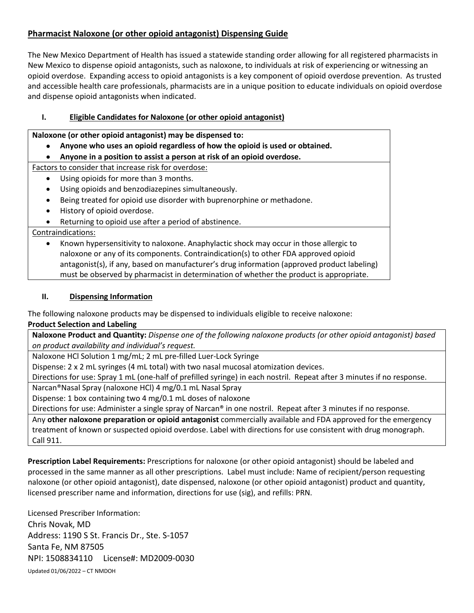# **Pharmacist Naloxone (or other opioid antagonist) Dispensing Guide**

The New Mexico Department of Health has issued a statewide standing order allowing for all registered pharmacists in New Mexico to dispense opioid antagonists, such as naloxone, to individuals at risk of experiencing or witnessing an opioid overdose. Expanding access to opioid antagonists is a key component of opioid overdose prevention. As trusted and accessible health care professionals, pharmacists are in a unique position to educate individuals on opioid overdose and dispense opioid antagonists when indicated.

## **I. Eligible Candidates for Naloxone (or other opioid antagonist)**

**Naloxone (or other opioid antagonist) may be dispensed to:**

- **Anyone who uses an opioid regardless of how the opioid is used or obtained.**
- **Anyone in a position to assist a person at risk of an opioid overdose.**

Factors to consider that increase risk for overdose:

- Using opioids for more than 3 months.
- Using opioids and benzodiazepines simultaneously.
- Being treated for opioid use disorder with buprenorphine or methadone.
- History of opioid overdose.
- Returning to opioid use after a period of abstinence.

Contraindications:

• Known hypersensitivity to naloxone. Anaphylactic shock may occur in those allergic to naloxone or any of its components. Contraindication(s) to other FDA approved opioid antagonist(s), if any, based on manufacturer's drug information (approved product labeling) must be observed by pharmacist in determination of whether the product is appropriate.

## **II. Dispensing Information**

The following naloxone products may be dispensed to individuals eligible to receive naloxone:

## **Product Selection and Labeling**

Naloxone Product and Quantity: Dispense one of the following naloxone products (or other opioid antagonist) based *on product availability and individual's request.*

Naloxone HCl Solution 1 mg/mL; 2 mL pre-filled Luer-Lock Syringe

Dispense: 2 x 2 mL syringes (4 mL total) with two nasal mucosal atomization devices.

Directions for use: Spray 1 mL (one-half of prefilled syringe) in each nostril. Repeat after 3 minutes if no response.

Narcan®Nasal Spray (naloxone HCl) 4 mg/0.1 mL Nasal Spray

Dispense: 1 box containing two 4 mg/0.1 mL doses of naloxone

Directions for use: Administer a single spray of Narcan® in one nostril. Repeat after 3 minutes if no response.

Any **other naloxone preparation or opioid antagonist** commercially available and FDA approved for the emergency treatment of known or suspected opioid overdose. Label with directions for use consistent with drug monograph. Call 911.

**Prescription Label Requirements:** Prescriptions for naloxone (or other opioid antagonist) should be labeled and processed in the same manner as all other prescriptions. Label must include: Name of recipient/person requesting naloxone (or other opioid antagonist), date dispensed, naloxone (or other opioid antagonist) product and quantity, licensed prescriber name and information, directions for use (sig), and refills: PRN.

Updated 01/06/2022 – CT NMDOH Licensed Prescriber Information: Chris Novak, MD Address: 1190 S St. Francis Dr., Ste. S-1057 Santa Fe, NM 87505 NPI: 1508834110 License#: MD2009-0030